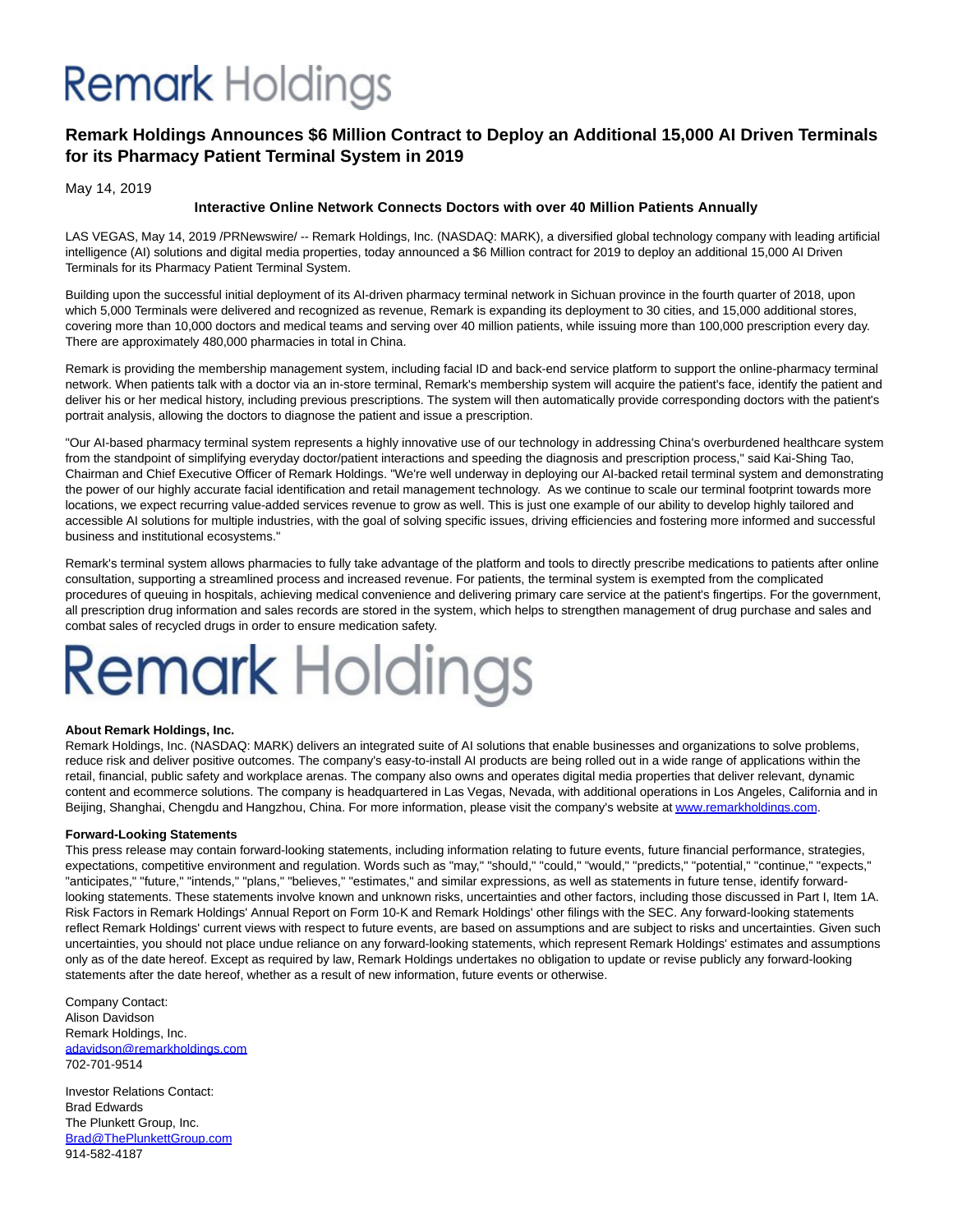## **Remark** Holdings

### **Remark Holdings Announces \$6 Million Contract to Deploy an Additional 15,000 AI Driven Terminals for its Pharmacy Patient Terminal System in 2019**

May 14, 2019

### **Interactive Online Network Connects Doctors with over 40 Million Patients Annually**

LAS VEGAS, May 14, 2019 /PRNewswire/ -- Remark Holdings, Inc. (NASDAQ: MARK), a diversified global technology company with leading artificial intelligence (AI) solutions and digital media properties, today announced a \$6 Million contract for 2019 to deploy an additional 15,000 AI Driven Terminals for its Pharmacy Patient Terminal System.

Building upon the successful initial deployment of its AI-driven pharmacy terminal network in Sichuan province in the fourth quarter of 2018, upon which 5,000 Terminals were delivered and recognized as revenue, Remark is expanding its deployment to 30 cities, and 15,000 additional stores, covering more than 10,000 doctors and medical teams and serving over 40 million patients, while issuing more than 100,000 prescription every day. There are approximately 480,000 pharmacies in total in China.

Remark is providing the membership management system, including facial ID and back-end service platform to support the online-pharmacy terminal network. When patients talk with a doctor via an in-store terminal, Remark's membership system will acquire the patient's face, identify the patient and deliver his or her medical history, including previous prescriptions. The system will then automatically provide corresponding doctors with the patient's portrait analysis, allowing the doctors to diagnose the patient and issue a prescription.

"Our AI-based pharmacy terminal system represents a highly innovative use of our technology in addressing China's overburdened healthcare system from the standpoint of simplifying everyday doctor/patient interactions and speeding the diagnosis and prescription process," said Kai-Shing Tao, Chairman and Chief Executive Officer of Remark Holdings. "We're well underway in deploying our AI-backed retail terminal system and demonstrating the power of our highly accurate facial identification and retail management technology. As we continue to scale our terminal footprint towards more locations, we expect recurring value-added services revenue to grow as well. This is just one example of our ability to develop highly tailored and accessible AI solutions for multiple industries, with the goal of solving specific issues, driving efficiencies and fostering more informed and successful business and institutional ecosystems."

Remark's terminal system allows pharmacies to fully take advantage of the platform and tools to directly prescribe medications to patients after online consultation, supporting a streamlined process and increased revenue. For patients, the terminal system is exempted from the complicated procedures of queuing in hospitals, achieving medical convenience and delivering primary care service at the patient's fingertips. For the government, all prescription drug information and sales records are stored in the system, which helps to strengthen management of drug purchase and sales and combat sales of recycled drugs in order to ensure medication safety.

# **Remark Holdings**

### **About Remark Holdings, Inc.**

Remark Holdings, Inc. (NASDAQ: MARK) delivers an integrated suite of AI solutions that enable businesses and organizations to solve problems, reduce risk and deliver positive outcomes. The company's easy-to-install AI products are being rolled out in a wide range of applications within the retail, financial, public safety and workplace arenas. The company also owns and operates digital media properties that deliver relevant, dynamic content and ecommerce solutions. The company is headquartered in Las Vegas, Nevada, with additional operations in Los Angeles, California and in Beijing, Shanghai, Chengdu and Hangzhou, China. For more information, please visit the company's website a[t www.remarkholdings.com.](https://c212.net/c/link/?t=0&l=en&o=2465596-1&h=2298123592&u=http%3A%2F%2Fwww.remarkholdings.com%2F&a=www.remarkholdings.com)

### **Forward-Looking Statements**

This press release may contain forward-looking statements, including information relating to future events, future financial performance, strategies, expectations, competitive environment and regulation. Words such as "may," "should," "could," "would," "predicts," "potential," "continue," "expects," "anticipates," "future," "intends," "plans," "believes," "estimates," and similar expressions, as well as statements in future tense, identify forwardlooking statements. These statements involve known and unknown risks, uncertainties and other factors, including those discussed in Part I, Item 1A. Risk Factors in Remark Holdings' Annual Report on Form 10-K and Remark Holdings' other filings with the SEC. Any forward-looking statements reflect Remark Holdings' current views with respect to future events, are based on assumptions and are subject to risks and uncertainties. Given such uncertainties, you should not place undue reliance on any forward-looking statements, which represent Remark Holdings' estimates and assumptions only as of the date hereof. Except as required by law, Remark Holdings undertakes no obligation to update or revise publicly any forward-looking statements after the date hereof, whether as a result of new information, future events or otherwise.

Company Contact: Alison Davidson Remark Holdings, Inc. [adavidson@remarkholdings.com](mailto:adavidson@remarkholdings.com) 702-701-9514

Investor Relations Contact: Brad Edwards The Plunkett Group, Inc. [Brad@ThePlunkettGroup.com](mailto:Brad@ThePlunkettGroup.com) 914-582-4187